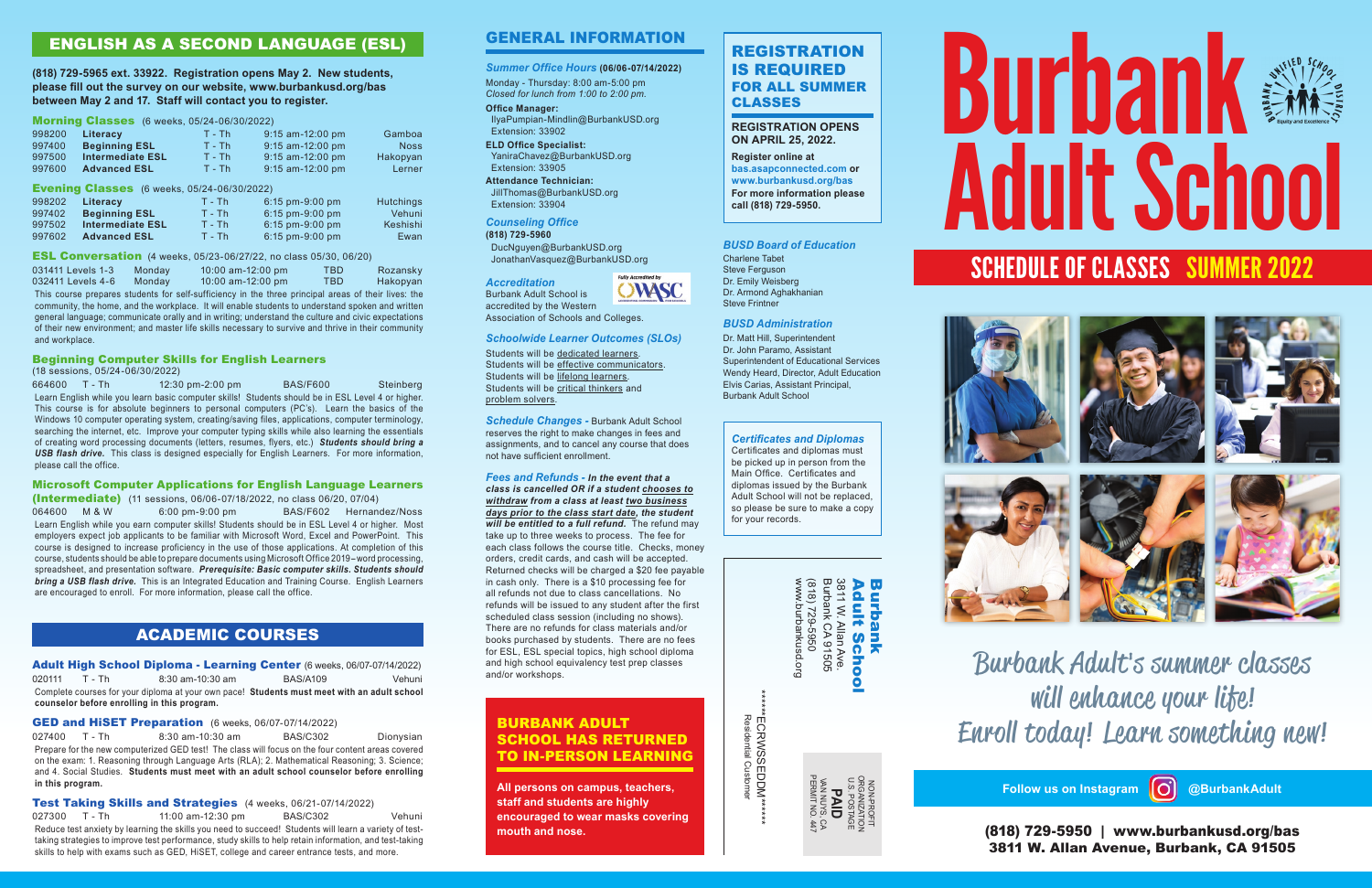Non-Profit Organization U.S. P OSTAGE **PAID** Van Nuys, CA Permit No. 447









Burbank Adult**'**s summer classes will enhance your life**!** Enroll today**!** Learn something new**!**

(818) 729-5950 | www.burbankusd.org/bas 3811 W. Allan Avenue, Burbank, CA 91505

**Follow us on Instagram @BurbankAdult**



### **REGISTRATION OPENS ON APRIL 25, 2022.**

**Register online at bas.asapconnected.com or www.burbankusd.org/bas For more information please call (818) 729-5950.** 

# General Information

## *Summer Office Hours* **(06/06-07/14/2022)**

Monday - Thursday: 8:00 am-5:00 pm *Closed for lunch from 1:00 to 2:00 pm.*

## **Office Manager:**

 IlyaPumpian-Mindlin@BurbankUSD.org Extension: 33902

**ELD Office Specialist:**  YaniraChavez@BurbankUSD.org Extension: 33905

**Attendance Technician:**  JillThomas@BurbankUSD.org Extension: 33904

## *Counseling Office*

**(818) 729-5960**

 DucNguyen@BurbankUSD.org JonathanVasquez@BurbankUSD.org



Association of Schools and Colleges.

#### *Schoolwide Learner Outcomes (SLOs)*

Students will be dedicated learners. Students will be effective communicators. Students will be lifelong learners. Students will be critical thinkers and problem solvers.

*Schedule Changes -* Burbank Adult School reserves the right to make changes in fees and assignments, and to cancel any course that does not have sufficient enrollment.

997502 **Intermediate ESL** T - Th 6:15 pm-9:00 pm Keshishi 997602 **Advanced ESL** T - Th 6:15 pm-9:00 pm Ewan

> *Fees and Refunds - In the event that a class is cancelled OR if a student chooses to withdraw from a class at least two business days prior to the class start date, the student will be entitled to a full refund.* The refund may take up to three weeks to process. The fee for each class follows the course title. Checks, money orders, credit cards, and cash will be accepted. Returned checks will be charged a \$20 fee payable in cash only. There is a \$10 processing fee for all refunds not due to class cancellations. No refunds will be issued to any student after the first scheduled class session (including no shows). There are no refunds for class materials and/or books purchased by students. There are no fees for ESL, ESL special topics, high school diploma and high school equivalency test prep classes and/or workshops.

| www.burbankusd.org<br>(818) 729-5950 | Burbank CA 91505<br>3811 W. Allan Ave. | Adult<br><b>Burbank</b><br>School |
|--------------------------------------|----------------------------------------|-----------------------------------|
|--------------------------------------|----------------------------------------|-----------------------------------|

\*\*\*\*\*\*EC

RWSSEDD

M\*\*\*\*\*\*

Residential Customer

# ENGLISH AS A SECOND LANGUAGE (ESL)

**(818) 729-5965 ext. 33922. Registration opens May 2. New students, please fill out the survey on our website, www.burbankusd.org/bas between May 2 and 17. Staff will contact you to register.** 

### Morning Classes (6 weeks, 05/24-06/30/2022)

| 998200 | Literacy                                           | $T - Th$ | 9:15 am-12:00 pm          | Gamboa           |
|--------|----------------------------------------------------|----------|---------------------------|------------------|
| 997400 | <b>Beginning ESL</b>                               | $T - Th$ | 9:15 am-12:00 pm          | <b>Noss</b>      |
| 997500 | <b>Intermediate ESL</b>                            | $T - Th$ | 9:15 am-12:00 pm          | Hakopyan         |
| 997600 | <b>Advanced ESL</b>                                | $T - Th$ | 9:15 am-12:00 pm          | Lerner           |
|        | <b>Evening Classes</b> (6 weeks, 05/24-06/30/2022) |          |                           |                  |
| 998202 | Literacy                                           | $T - Th$ | $6:15$ pm-9:00 pm         | <b>Hutchings</b> |
| 997402 | <b>Beginning ESL</b>                               | $T - Th$ | 6.15 pm-9.00 pm           | Vehuni           |
| 007502 | Intormodiato ESI                                   | T Th     | $6.15 \text{ nm}$ 0.00 nm | Kachichi         |

027400 T - Th 8:30 am-10:30 am BAS/C302 Dionysian Prepare for the new computerized GED test! The class will focus on the four content areas covered on the exam: 1. Reasoning through Language Arts (RLA); 2. Mathematical Reasoning; 3. Science; and 4. Social Studies. **Students must meet with an adult school counselor before enrolling in this program.**

Test Taking Skills and Strategies (4 weeks, 06/21-07/14/2022) 027300 T - Th 11:00 am-12:30 pm BAS/C302 Vehuni Reduce test anxiety by learning the skills you need to succeed! Students will learn a variety of test-

# Burbank Adult School SCHEDULE OF CLASSES SUMMER 2022

ESL Conversation (4 weeks, 05/23-06/27/22, no class 05/30, 06/20) 031411 Levels 1-3 Monday 10:00 am-12:00 pm TBD Rozansky 032411 Levels 4-6 Monday 10:00 am-12:00 pm TBD Hakopyan This course prepares students for self-sufficiency in the three principal areas of their lives: the community, the home, and the workplace. It will enable students to understand spoken and written general language; communicate orally and in writing; understand the culture and civic expectations of their new environment; and master life skills necessary to survive and thrive in their community and workplace.

## Beginning Computer Skills for English Learners

(18 sessions, 05/24-06/30/2022)

664600 T - Th 12:30 pm-2:00 pm BAS/F600 Steinberg Learn English while you learn basic computer skills! Students should be in ESL Level 4 or higher. This course is for absolute beginners to personal computers (PC's). Learn the basics of the Windows 10 computer operating system, creating/saving files, applications, computer terminology, searching the internet, etc. Improve your computer typing skills while also learning the essentials of creating word processing documents (letters, resumes, flyers, etc.) *Students should bring a USB flash drive.* This class is designed especially for English Learners. For more information, please call the office.

#### Microsoft Computer Applications for English Language Learners (Intermediate) (11 sessions, 06/06-07/18/2022, no class 06/20, 07/04)

064600 M & W 6:00 pm-9:00 pm BAS/F602 Hernandez/Noss Learn English while you earn computer skills! Students should be in ESL Level 4 or higher. Most employers expect job applicants to be familiar with Microsoft Word, Excel and PowerPoint. This course is designed to increase proficiency in the use of those applications. At completion of this course, students should be able to prepare documents using Microsoft Office 2019-word processing, spreadsheet, and presentation software. *Prerequisite: Basic computer skills. Students should bring a USB flash drive.* This is an Integrated Education and Training Course. English Learners are encouraged to enroll. For more information, please call the office.

# ACADEMIC COURSES

Adult High School Diploma - Learning Center (6 weeks, 06/07-07/14/2022) 020111 T - Th 8:30 am-10:30 am BAS/A109 Vehuni Complete courses for your diploma at your own pace! **Students must meet with an adult school counselor before enrolling in this program.**

GED and HiSET Preparation (6 weeks, 06/07-07/14/2022)

taking strategies to improve test performance, study skills to help retain information, and test-taking skills to help with exams such as GED, HiSET, college and career entrance tests, and more.

## *BUSD Board of Education*

Charlene Tabet Steve Ferguson Dr. Emily Weisberg Dr. Armond Aghakhanian Steve Frintner

#### *BUSD Administration*

Dr. Matt Hill, Superintendent Dr. John Paramo, Assistant Superintendent of Educational Services Wendy Heard, Director, Adult Education Elvis Carias, Assistant Principal, Burbank Adult School

# BURBANK ADULT SCHOOL HAS RETURNED TO IN-PERSON LEARNING

**All persons on campus, teachers, staff and students are highly encouraged to wear masks covering mouth and nose.**

# *Certificates and Diplomas*

Certificates and diplomas must be picked up in person from the Main Office. Certificates and diplomas issued by the Burbank Adult School will not be replaced, so please be sure to make a copy for your records.